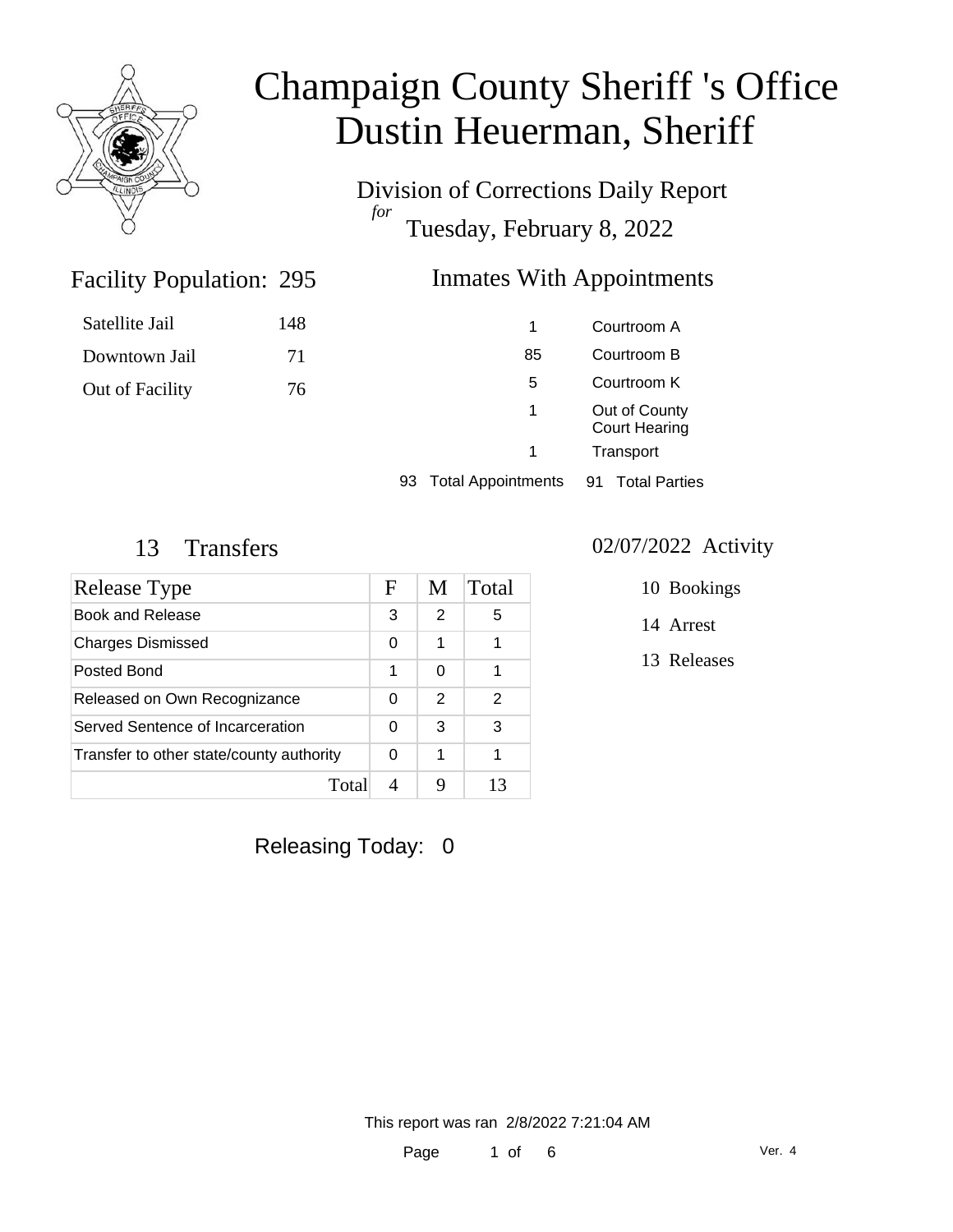

Division of Corrections Daily Report *for* Tuesday, February 8, 2022

#### Facility Population: 295 Inmates With Appointments

| 1  | Courtroom A                           |
|----|---------------------------------------|
| 85 | Courtroom B                           |
| 5  | Courtroom K                           |
| 1  | Out of County<br><b>Court Hearing</b> |
| 1  | Transport                             |

93 Total Appointments 91 Total Parties

Satellite Jail 148

Downtown Jail 71

Out of Facility 76

| Release Type                             | F | M             | Total |
|------------------------------------------|---|---------------|-------|
| <b>Book and Release</b>                  | 3 | $\mathcal{P}$ | 5     |
| <b>Charges Dismissed</b>                 | 0 | 1             | 1     |
| Posted Bond                              | 1 | 0             | 1     |
| Released on Own Recognizance             | 0 | $\mathcal{P}$ | 2     |
| Served Sentence of Incarceration         | 0 | 3             | 3     |
| Transfer to other state/county authority | 0 |               |       |
| Total                                    |   |               |       |

Releasing Today: 0

### 13 Transfers 02/07/2022 Activity

- 10 Bookings
- 14 Arrest
- 13 Releases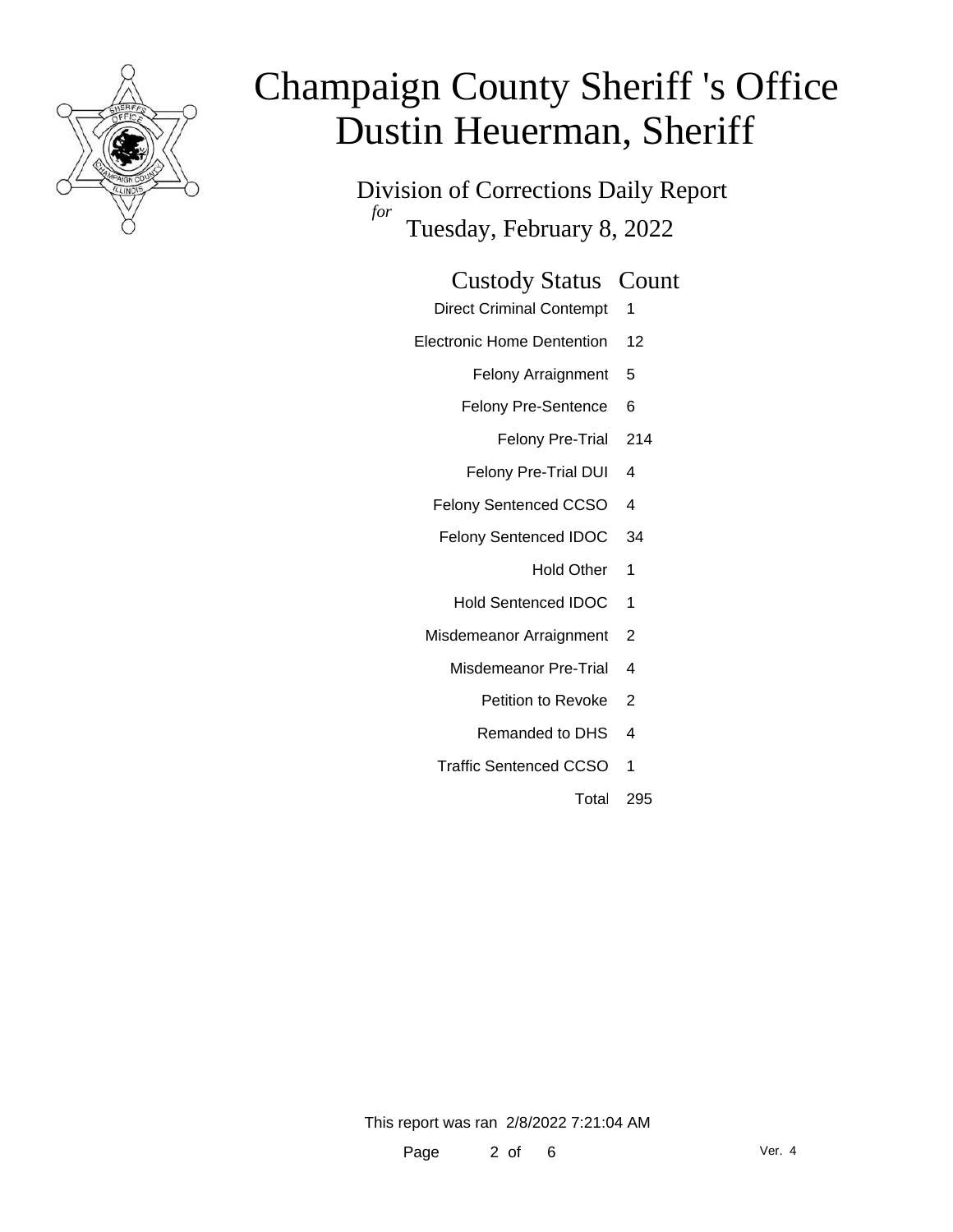

Division of Corrections Daily Report *for* Tuesday, February 8, 2022

### Custody Status Count

- Direct Criminal Contempt 1
- Electronic Home Dentention 12
	- Felony Arraignment 5
	- Felony Pre-Sentence 6
		- Felony Pre-Trial 214
	- Felony Pre-Trial DUI 4
	- Felony Sentenced CCSO 4
	- Felony Sentenced IDOC 34
		- Hold Other 1
		- Hold Sentenced IDOC 1
	- Misdemeanor Arraignment 2
		- Misdemeanor Pre-Trial 4
			- Petition to Revoke 2
			- Remanded to DHS 4
		- Traffic Sentenced CCSO 1
			- Total 295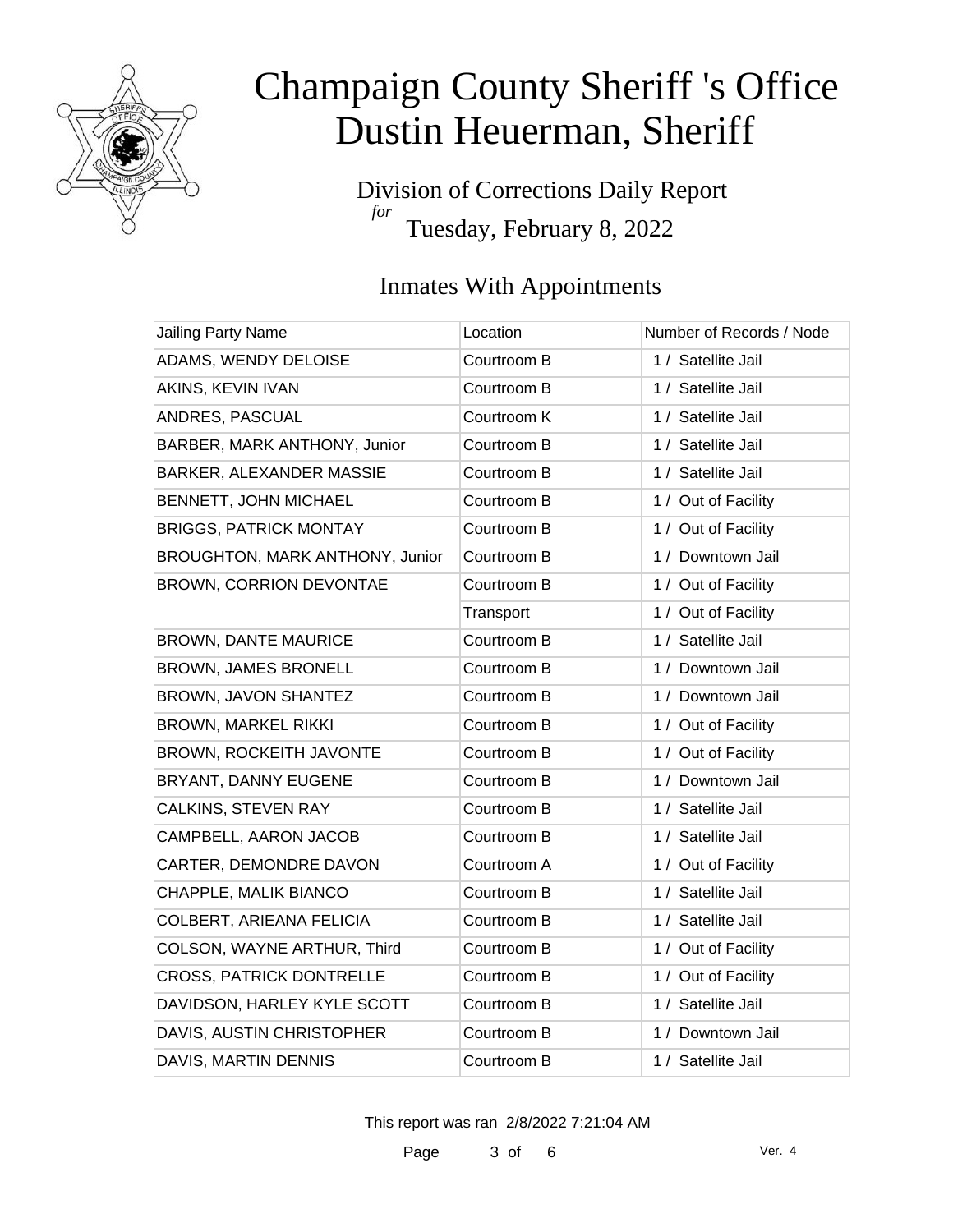

Division of Corrections Daily Report *for* Tuesday, February 8, 2022

### Inmates With Appointments

| <b>Jailing Party Name</b>       | Location    | Number of Records / Node |
|---------------------------------|-------------|--------------------------|
| ADAMS, WENDY DELOISE            | Courtroom B | 1 / Satellite Jail       |
| AKINS, KEVIN IVAN               | Courtroom B | 1 / Satellite Jail       |
| ANDRES, PASCUAL                 | Courtroom K | 1 / Satellite Jail       |
| BARBER, MARK ANTHONY, Junior    | Courtroom B | 1 / Satellite Jail       |
| <b>BARKER, ALEXANDER MASSIE</b> | Courtroom B | 1 / Satellite Jail       |
| BENNETT, JOHN MICHAEL           | Courtroom B | 1 / Out of Facility      |
| <b>BRIGGS, PATRICK MONTAY</b>   | Courtroom B | 1 / Out of Facility      |
| BROUGHTON, MARK ANTHONY, Junior | Courtroom B | 1 / Downtown Jail        |
| BROWN, CORRION DEVONTAE         | Courtroom B | 1 / Out of Facility      |
|                                 | Transport   | 1 / Out of Facility      |
| <b>BROWN, DANTE MAURICE</b>     | Courtroom B | 1 / Satellite Jail       |
| <b>BROWN, JAMES BRONELL</b>     | Courtroom B | 1 / Downtown Jail        |
| BROWN, JAVON SHANTEZ            | Courtroom B | 1 / Downtown Jail        |
| <b>BROWN, MARKEL RIKKI</b>      | Courtroom B | 1 / Out of Facility      |
| BROWN, ROCKEITH JAVONTE         | Courtroom B | 1 / Out of Facility      |
| BRYANT, DANNY EUGENE            | Courtroom B | 1 / Downtown Jail        |
| <b>CALKINS, STEVEN RAY</b>      | Courtroom B | 1 / Satellite Jail       |
| CAMPBELL, AARON JACOB           | Courtroom B | 1 / Satellite Jail       |
| CARTER, DEMONDRE DAVON          | Courtroom A | 1 / Out of Facility      |
| CHAPPLE, MALIK BIANCO           | Courtroom B | 1 / Satellite Jail       |
| COLBERT, ARIEANA FELICIA        | Courtroom B | 1 / Satellite Jail       |
| COLSON, WAYNE ARTHUR, Third     | Courtroom B | 1 / Out of Facility      |
| <b>CROSS, PATRICK DONTRELLE</b> | Courtroom B | 1 / Out of Facility      |
| DAVIDSON, HARLEY KYLE SCOTT     | Courtroom B | 1 / Satellite Jail       |
| DAVIS, AUSTIN CHRISTOPHER       | Courtroom B | 1 / Downtown Jail        |
| DAVIS, MARTIN DENNIS            | Courtroom B | 1 / Satellite Jail       |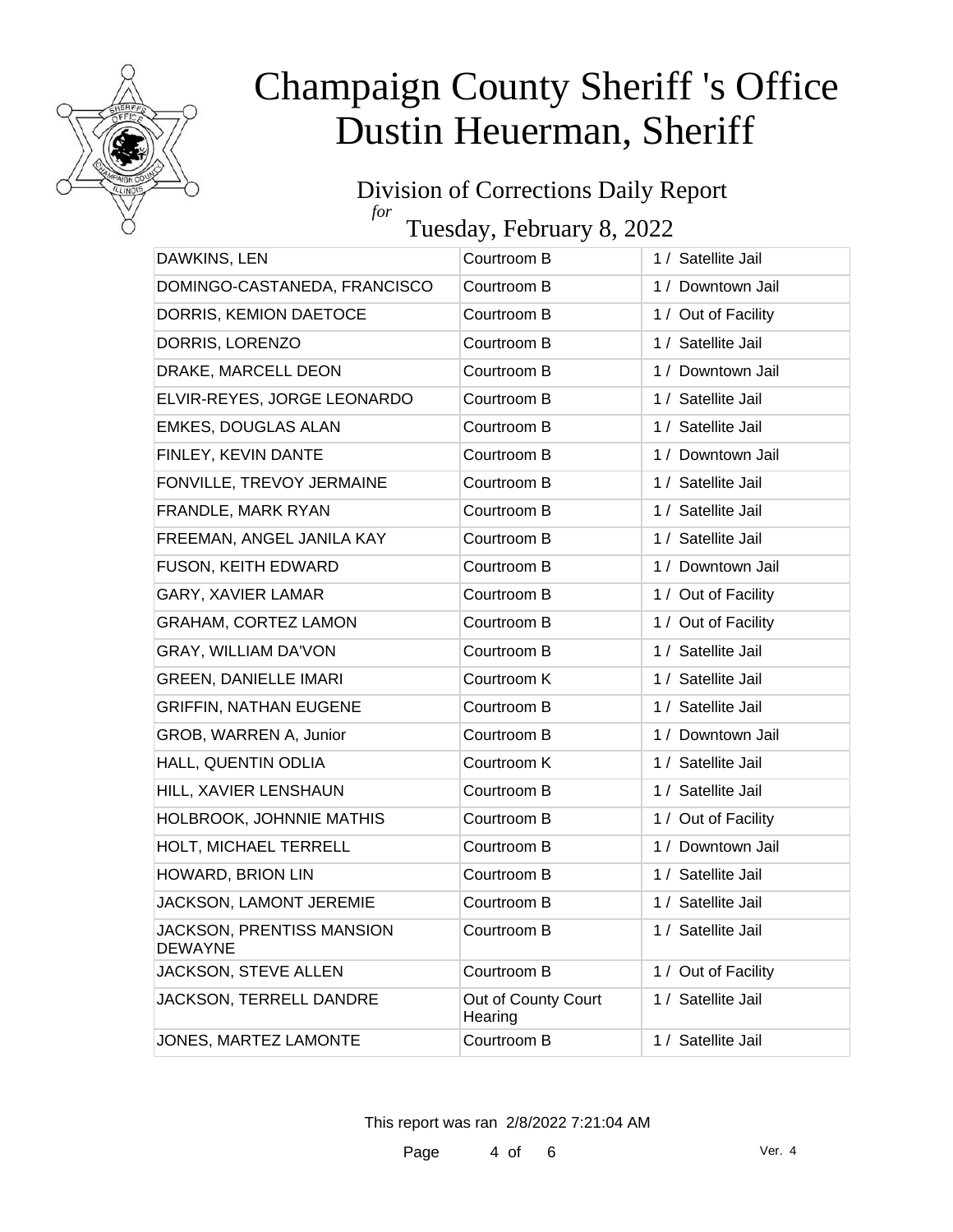

#### Division of Corrections Daily Report *for* Tuesday, February 8, 2022

| DAWKINS, LEN                                       | Courtroom B                    | 1 / Satellite Jail  |
|----------------------------------------------------|--------------------------------|---------------------|
| DOMINGO-CASTANEDA, FRANCISCO                       | Courtroom B                    | 1 / Downtown Jail   |
| DORRIS, KEMION DAETOCE                             | Courtroom B                    | 1 / Out of Facility |
| DORRIS, LORENZO                                    | Courtroom B                    | 1 / Satellite Jail  |
| DRAKE, MARCELL DEON                                | Courtroom B                    | 1 / Downtown Jail   |
| ELVIR-REYES, JORGE LEONARDO                        | Courtroom B                    | 1 / Satellite Jail  |
| EMKES, DOUGLAS ALAN                                | Courtroom B                    | 1 / Satellite Jail  |
| FINLEY, KEVIN DANTE                                | Courtroom B                    | 1 / Downtown Jail   |
| FONVILLE, TREVOY JERMAINE                          | Courtroom B                    | 1 / Satellite Jail  |
| FRANDLE, MARK RYAN                                 | Courtroom B                    | 1 / Satellite Jail  |
| FREEMAN, ANGEL JANILA KAY                          | Courtroom B                    | 1 / Satellite Jail  |
| FUSON, KEITH EDWARD                                | Courtroom B                    | 1 / Downtown Jail   |
| <b>GARY, XAVIER LAMAR</b>                          | Courtroom B                    | 1 / Out of Facility |
| <b>GRAHAM, CORTEZ LAMON</b>                        | Courtroom B                    | 1 / Out of Facility |
| GRAY, WILLIAM DA'VON                               | Courtroom B                    | 1 / Satellite Jail  |
| <b>GREEN, DANIELLE IMARI</b>                       | Courtroom K                    | 1 / Satellite Jail  |
| <b>GRIFFIN, NATHAN EUGENE</b>                      | Courtroom B                    | 1 / Satellite Jail  |
| GROB, WARREN A, Junior                             | Courtroom B                    | 1 / Downtown Jail   |
| HALL, QUENTIN ODLIA                                | Courtroom K                    | 1 / Satellite Jail  |
| HILL, XAVIER LENSHAUN                              | Courtroom B                    | 1 / Satellite Jail  |
| HOLBROOK, JOHNNIE MATHIS                           | Courtroom B                    | 1 / Out of Facility |
| HOLT, MICHAEL TERRELL                              | Courtroom B                    | 1 / Downtown Jail   |
| HOWARD, BRION LIN                                  | Courtroom B                    | 1 / Satellite Jail  |
| JACKSON, LAMONT JEREMIE                            | Courtroom B                    | 1 / Satellite Jail  |
| <b>JACKSON, PRENTISS MANSION</b><br><b>DEWAYNE</b> | Courtroom B                    | 1 / Satellite Jail  |
| JACKSON, STEVE ALLEN                               | Courtroom B                    | 1 / Out of Facility |
| JACKSON, TERRELL DANDRE                            | Out of County Court<br>Hearing | 1 / Satellite Jail  |
| JONES, MARTEZ LAMONTE                              | Courtroom B                    | 1 / Satellite Jail  |
|                                                    |                                |                     |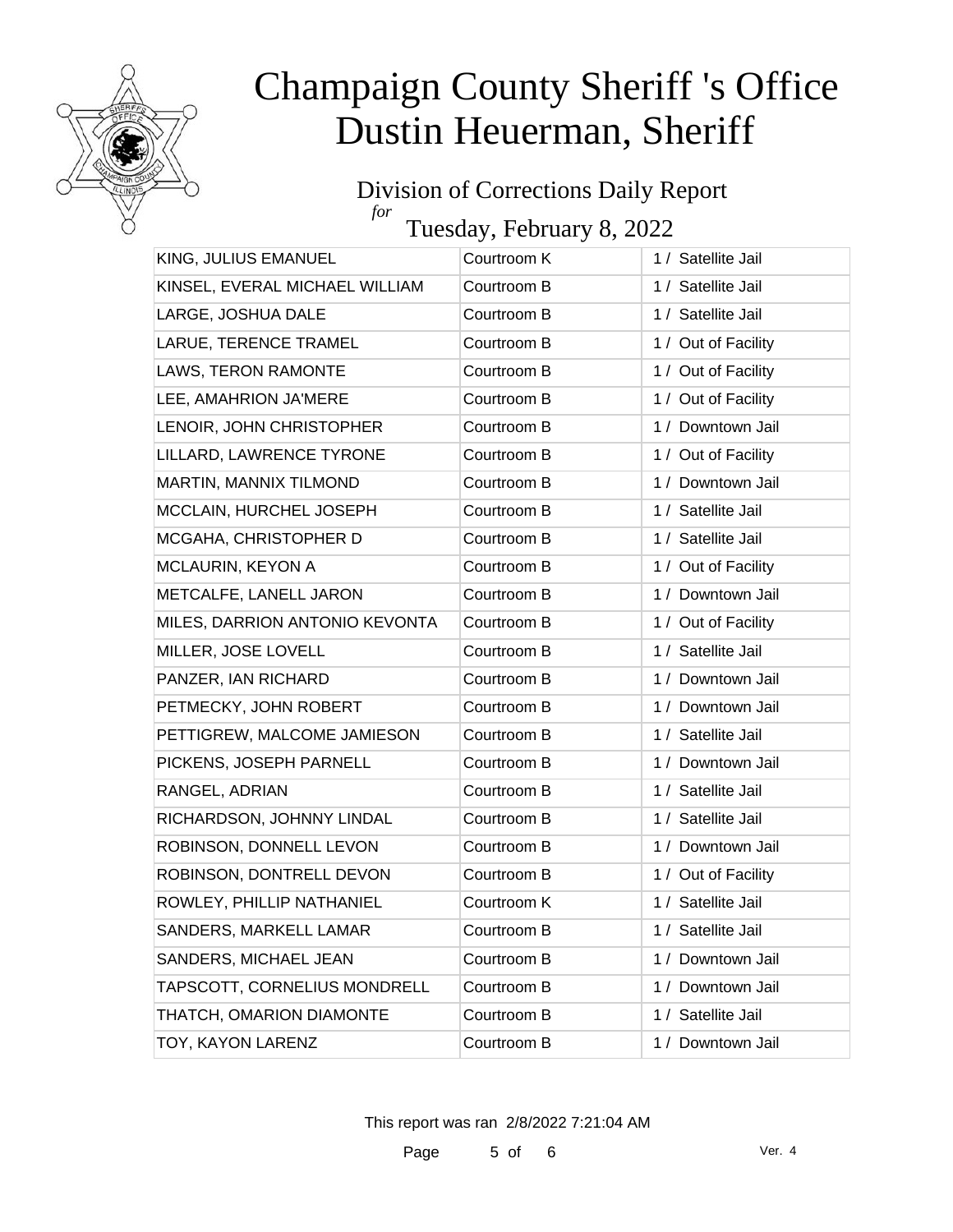

#### Division of Corrections Daily Report *for* Tuesday, February 8, 2022

KING, JULIUS EMANUEL Courtroom K 1 / Satellite Jail KINSEL, EVERAL MICHAEL WILLIAM Courtroom B 1 / Satellite Jail LARGE, JOSHUA DALE Courtroom B 1 / Satellite Jail LARUE, TERENCE TRAMEL Courtroom B 1/ Out of Facility LAWS, TERON RAMONTE Courtroom B 1 / Out of Facility LEE, AMAHRION JA'MERE Courtroom B 1 / Out of Facility LENOIR, JOHN CHRISTOPHER Courtroom B 1/ Downtown Jail LILLARD, LAWRENCE TYRONE Courtroom B 1 / Out of Facility MARTIN, MANNIX TILMOND Courtroom B 1 / Downtown Jail MCCLAIN, HURCHEL JOSEPH Courtroom B 1 / Satellite Jail MCGAHA, CHRISTOPHER D Courtroom B 1 / Satellite Jail MCLAURIN, KEYON A Courtroom B 1 / Out of Facility METCALFE, LANELL JARON Courtroom B 1/ Downtown Jail MILES, DARRION ANTONIO KEVONTA Courtroom B 1 / Out of Facility MILLER, JOSE LOVELL Courtroom B 1 / Satellite Jail PANZER, IAN RICHARD Courtroom B 1 / Downtown Jail PETMECKY, JOHN ROBERT Courtroom B 1 / Downtown Jail PETTIGREW, MALCOME JAMIESON Courtroom B 1 / Satellite Jail PICKENS, JOSEPH PARNELL Courtroom B 1 / Downtown Jail RANGEL, ADRIAN Courtroom B 1 / Satellite Jail RICHARDSON, JOHNNY LINDAL Courtroom B 1 / Satellite Jail ROBINSON, DONNELL LEVON Courtroom B 1 / Downtown Jail ROBINSON, DONTRELL DEVON Courtroom B 1 / Out of Facility ROWLEY, PHILLIP NATHANIEL Courtroom K 1 / Satellite Jail SANDERS, MARKELL LAMAR Courtroom B 1 / Satellite Jail SANDERS, MICHAEL JEAN Courtroom B 1 / Downtown Jail TAPSCOTT, CORNELIUS MONDRELL Courtroom B 1 / Downtown Jail THATCH, OMARION DIAMONTE Courtroom B 1 / Satellite Jail TOY, KAYON LARENZ Courtroom B 1 / Downtown Jail